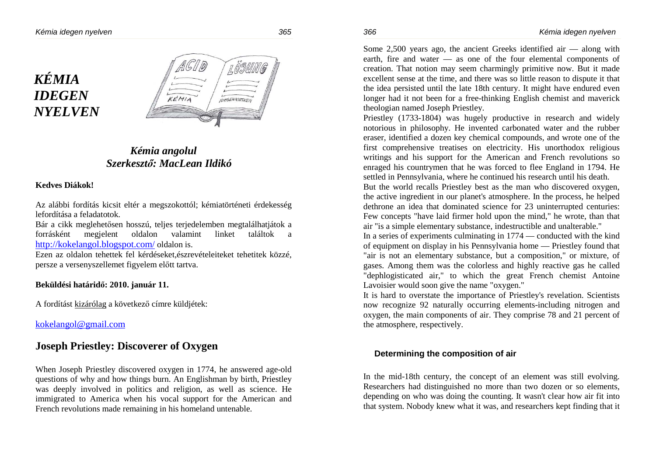366

# *KÉMIA IDEGEN NYELVEN*



# *Kémia angolul Szerkesztı: MacLean Ildikó*

### **Kedves Diákok!**

Az alábbi fordítás kicsit eltér a megszokottól; kémiatörténeti érdekesség lefordítása a feladatotok.

Bár a cikk meglehetősen hosszú, teljes terjedelemben megtalálhatjátok a megjelent találtok a forrásként megjelent oldalon valamint linket http://kokelangol.blogspot.com/ oldalon is.

 Ezen az oldalon tehettek fel kérdéseket,észrevételeiteket tehetitek közzé, persze a versenyszellemet figyelem előtt tartva.

### **Beküldési határidı: 2010. január 11.**

A fordítást <u>kizárólag</u> a következő címre küldjétek:

## kokelangol@gmail.com

# **Joseph Priestley: Discoverer of Oxygen**

When Joseph Priestley discovered oxygen in 1774, he answered age-old questions of why and how things burn. An Englishman by birth, Priestley was deeply involved in politics and religion, as well as science. He immigrated to America when his vocal support for the American and French revolutions made remaining in his homeland untenable.

Some 2,500 years ago, the ancient Greeks identified air — along with earth, fire and water — as one of the four elemental components of creation. That notion may seem charmingly primitive now. But it made excellent sense at the time, and there was so little reason to dispute it that the idea persisted until the late 18th century. It might have endured even longer had it not been for a free-thinking English chemist and maverick theologian named Joseph Priestley.

 Priestley (1733-1804) was hugely productive in research and widely notorious in philosophy. He invented carbonated water and the rubber eraser, identified a dozen key chemical compounds, and wrote one of the first comprehensive treatises on electricity. His unorthodox religious writings and his support for the American and French revolutions so enraged his countrymen that he was forced to flee England in 1794. He settled in Pennsylvania, where he continued his research until his death.

 But the world recalls Priestley best as the man who discovered oxygen, the active ingredient in our planet's atmosphere. In the process, he helped dethrone an idea that dominated science for 23 uninterrupted centuries: Few concepts "have laid firmer hold upon the mind," he wrote, than that air "is a simple elementary substance, indestructible and unalterable."

 In a series of experiments culminating in 1774 — conducted with the kind of equipment on display in his Pennsylvania home — Priestley found that "air is not an elementary substance, but a composition," or mixture, of gases. Among them was the colorless and highly reactive gas he called "dephlogisticated air," to which the great French chemist Antoine Lavoisier would soon give the name "oxygen."

 It is hard to overstate the importance of Priestley's revelation. Scientists now recognize 92 naturally occurring elements-including nitrogen and oxygen, the main components of air. They comprise 78 and 21 percent of the atmosphere, respectively.

## **Determining the composition of air**

In the mid-18th century, the concept of an element was still evolving. Researchers had distinguished no more than two dozen or so elements, depending on who was doing the counting. It wasn't clear how air fit into that system. Nobody knew what it was, and researchers kept finding that it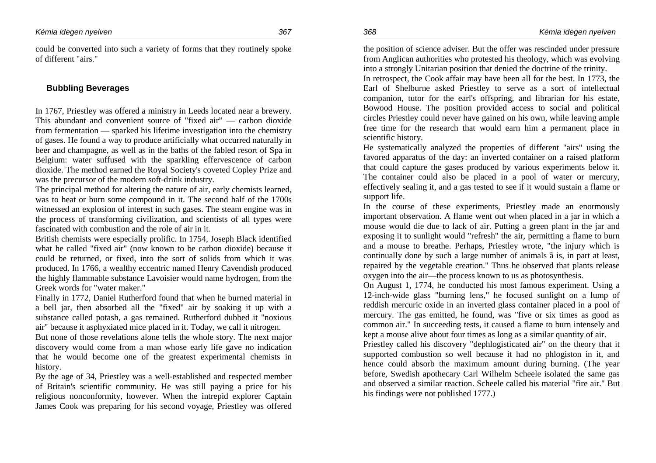368

could be converted into such a variety of forms that they routinely spoke of different "airs."

#### **Bubbling Beverages**

In 1767, Priestley was offered a ministry in Leeds located near a brewery. This abundant and convenient source of "fixed air" — carbon dioxide from fermentation — sparked his lifetime investigation into the chemistry of gases. He found a way to produce artificially what occurred naturally in beer and champagne, as well as in the baths of the fabled resort of Spa in Belgium: water suffused with the sparkling effervescence of carbon dioxide. The method earned the Royal Society's coveted Copley Prize and was the precursor of the modern soft-drink industry.

 The principal method for altering the nature of air, early chemists learned, was to heat or burn some compound in it. The second half of the 1700s witnessed an explosion of interest in such gases. The steam engine was in the process of transforming civilization, and scientists of all types were fascinated with combustion and the role of air in it.

 British chemists were especially prolific. In 1754, Joseph Black identified what he called "fixed air" (now known to be carbon dioxide) because it could be returned, or fixed, into the sort of solids from which it was produced. In 1766, a wealthy eccentric named Henry Cavendish produced the highly flammable substance Lavoisier would name hydrogen, from the Greek words for "water maker."

Finally in 1772, Daniel Rutherford found that when he burned material in a bell jar, then absorbed all the "fixed" air by soaking it up with a substance called potash, a gas remained. Rutherford dubbed it "noxious air" because it asphyxiated mice placed in it. Today, we call it nitrogen.

 But none of those revelations alone tells the whole story. The next major discovery would come from a man whose early life gave no indication that he would become one of the greatest experimental chemists in history.

 By the age of 34, Priestley was a well-established and respected member of Britain's scientific community. He was still paying a price for his religious nonconformity, however. When the intrepid explorer Captain James Cook was preparing for his second voyage, Priestley was offered the position of science adviser. But the offer was rescinded under pressure from Anglican authorities who protested his theology, which was evolving into a strongly Unitarian position that denied the doctrine of the trinity.

 In retrospect, the Cook affair may have been all for the best. In 1773, the Earl of Shelburne asked Priestley to serve as a sort of intellectual companion, tutor for the earl's offspring, and librarian for his estate, Bowood House. The position provided access to social and political circles Priestley could never have gained on his own, while leaving ample free time for the research that would earn him a permanent place in scientific history.

 He systematically analyzed the properties of different "airs" using the favored apparatus of the day: an inverted container on a raised platform that could capture the gases produced by various experiments below it. The container could also be placed in a pool of water or mercury, effectively sealing it, and a gas tested to see if it would sustain a flame or support life.

 In the course of these experiments, Priestley made an enormously important observation. A flame went out when placed in a jar in which a mouse would die due to lack of air. Putting a green plant in the jar and exposing it to sunlight would "refresh" the air, permitting a flame to burn and a mouse to breathe. Perhaps, Priestley wrote, "the injury which is continually done by such a large number of animals ã is, in part at least, repaired by the vegetable creation." Thus he observed that plants release oxygen into the air—the process known to us as photosynthesis.

 On August 1, 1774, he conducted his most famous experiment. Using a 12-inch-wide glass "burning lens," he focused sunlight on a lump of reddish mercuric oxide in an inverted glass container placed in a pool of mercury. The gas emitted, he found, was "five or six times as good as common air." In succeeding tests, it caused a flame to burn intensely and kept a mouse alive about four times as long as a similar quantity of air.

 Priestley called his discovery "dephlogisticated air" on the theory that it supported combustion so well because it had no phlogiston in it, and hence could absorb the maximum amount during burning. (The year before, Swedish apothecary Carl Wilhelm Scheele isolated the same gas and observed a similar reaction. Scheele called his material "fire air." But his findings were not published 1777.)